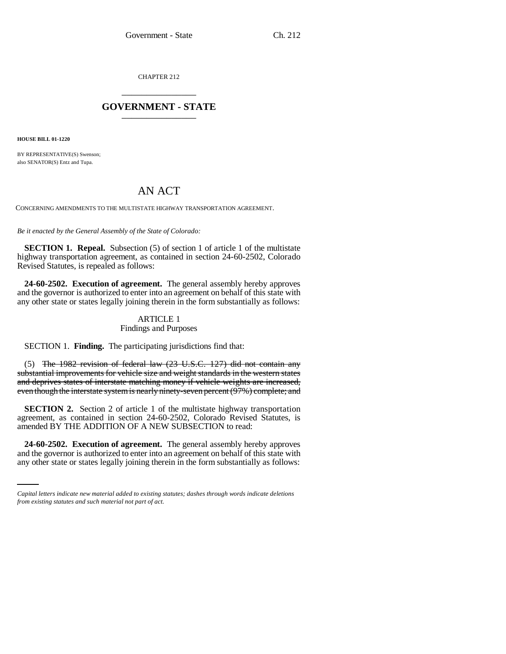CHAPTER 212 \_\_\_\_\_\_\_\_\_\_\_\_\_\_\_

# **GOVERNMENT - STATE** \_\_\_\_\_\_\_\_\_\_\_\_\_\_\_

**HOUSE BILL 01-1220**

BY REPRESENTATIVE(S) Swenson; also SENATOR(S) Entz and Tupa.

# AN ACT

CONCERNING AMENDMENTS TO THE MULTISTATE HIGHWAY TRANSPORTATION AGREEMENT.

*Be it enacted by the General Assembly of the State of Colorado:*

**SECTION 1. Repeal.** Subsection (5) of section 1 of article 1 of the multistate highway transportation agreement, as contained in section 24-60-2502, Colorado Revised Statutes, is repealed as follows:

**24-60-2502. Execution of agreement.** The general assembly hereby approves and the governor is authorized to enter into an agreement on behalf of this state with any other state or states legally joining therein in the form substantially as follows:

# ARTICLE 1

## Findings and Purposes

SECTION 1. **Finding.** The participating jurisdictions find that:

(5) The 1982 revision of federal law (23 U.S.C. 127) did not contain any substantial improvements for vehicle size and weight standards in the western states and deprives states of interstate matching money if vehicle weights are increased, even though the interstate system is nearly ninety-seven percent (97%) complete; and

**SECTION 2.** Section 2 of article 1 of the multistate highway transportation agreement, as contained in section 24-60-2502, Colorado Revised Statutes, is amended BY THE ADDITION OF A NEW SUBSECTION to read:

 **24-60-2502. Execution of agreement.** The general assembly hereby approves and the governor is authorized to enter into an agreement on behalf of this state with any other state or states legally joining therein in the form substantially as follows:

*Capital letters indicate new material added to existing statutes; dashes through words indicate deletions from existing statutes and such material not part of act.*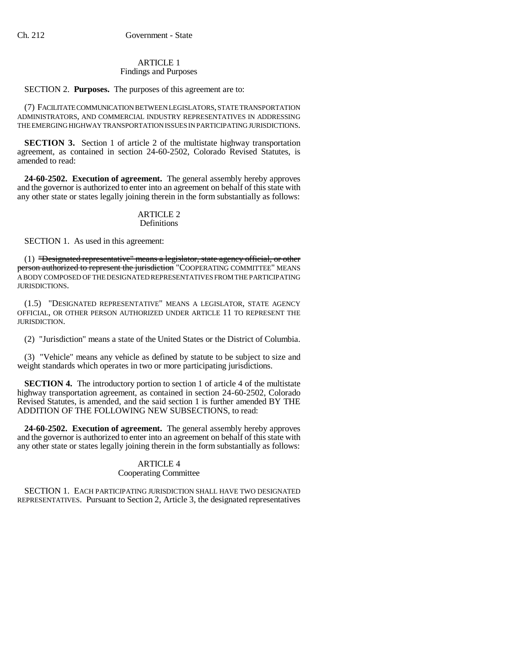### ARTICLE 1 Findings and Purposes

## SECTION 2. **Purposes.** The purposes of this agreement are to:

(7) FACILITATE COMMUNICATION BETWEEN LEGISLATORS, STATE TRANSPORTATION ADMINISTRATORS, AND COMMERCIAL INDUSTRY REPRESENTATIVES IN ADDRESSING THE EMERGING HIGHWAY TRANSPORTATION ISSUES IN PARTICIPATING JURISDICTIONS.

**SECTION 3.** Section 1 of article 2 of the multistate highway transportation agreement, as contained in section 24-60-2502, Colorado Revised Statutes, is amended to read:

**24-60-2502. Execution of agreement.** The general assembly hereby approves and the governor is authorized to enter into an agreement on behalf of this state with any other state or states legally joining therein in the form substantially as follows:

#### ARTICLE 2 **Definitions**

## SECTION 1. As used in this agreement:

(1) "Designated representative" means a legislator, state agency official, or other person authorized to represent the jurisdiction "COOPERATING COMMITTEE" MEANS A BODY COMPOSED OF THE DESIGNATED REPRESENTATIVES FROM THE PARTICIPATING JURISDICTIONS.

(1.5) "DESIGNATED REPRESENTATIVE" MEANS A LEGISLATOR, STATE AGENCY OFFICIAL, OR OTHER PERSON AUTHORIZED UNDER ARTICLE 11 TO REPRESENT THE **HEISDICTION** 

(2) "Jurisdiction" means a state of the United States or the District of Columbia.

(3) "Vehicle" means any vehicle as defined by statute to be subject to size and weight standards which operates in two or more participating jurisdictions.

**SECTION 4.** The introductory portion to section 1 of article 4 of the multistate highway transportation agreement, as contained in section 24-60-2502, Colorado Revised Statutes, is amended, and the said section 1 is further amended BY THE ADDITION OF THE FOLLOWING NEW SUBSECTIONS, to read:

**24-60-2502. Execution of agreement.** The general assembly hereby approves and the governor is authorized to enter into an agreement on behalf of this state with any other state or states legally joining therein in the form substantially as follows:

# ARTICLE 4

# Cooperating Committee

SECTION 1. EACH PARTICIPATING JURISDICTION SHALL HAVE TWO DESIGNATED REPRESENTATIVES. Pursuant to Section 2, Article 3, the designated representatives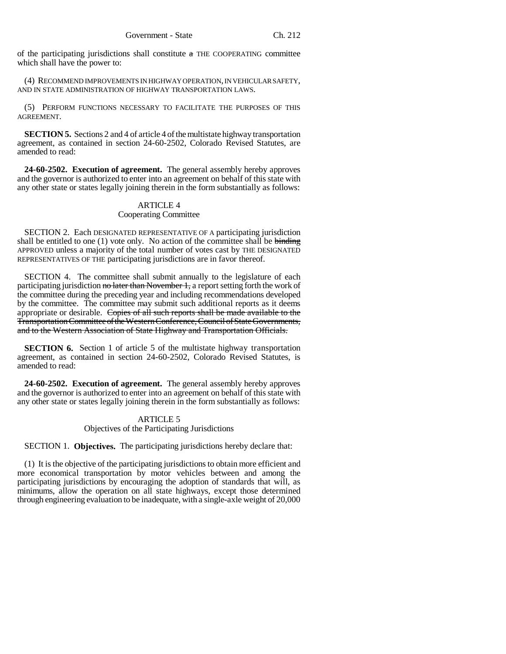of the participating jurisdictions shall constitute  $\alpha$  THE COOPERATING committee which shall have the power to:

(4) RECOMMEND IMPROVEMENTS IN HIGHWAY OPERATION, IN VEHICULAR SAFETY, AND IN STATE ADMINISTRATION OF HIGHWAY TRANSPORTATION LAWS.

(5) PERFORM FUNCTIONS NECESSARY TO FACILITATE THE PURPOSES OF THIS AGREEMENT.

**SECTION 5.** Sections 2 and 4 of article 4 of the multistate highway transportation agreement, as contained in section 24-60-2502, Colorado Revised Statutes, are amended to read:

**24-60-2502. Execution of agreement.** The general assembly hereby approves and the governor is authorized to enter into an agreement on behalf of this state with any other state or states legally joining therein in the form substantially as follows:

### ARTICLE 4 Cooperating Committee

SECTION 2. Each DESIGNATED REPRESENTATIVE OF A participating jurisdiction shall be entitled to one  $(1)$  vote only. No action of the committee shall be binding APPROVED unless a majority of the total number of votes cast by THE DESIGNATED REPRESENTATIVES OF THE participating jurisdictions are in favor thereof.

SECTION 4. The committee shall submit annually to the legislature of each participating jurisdiction no later than November 1, a report setting forth the work of the committee during the preceding year and including recommendations developed by the committee. The committee may submit such additional reports as it deems appropriate or desirable. Copies of all such reports shall be made available to the Transportation Committee of the Western Conference, Council of State Governments, and to the Western Association of State Highway and Transportation Officials.

**SECTION 6.** Section 1 of article 5 of the multistate highway transportation agreement, as contained in section 24-60-2502, Colorado Revised Statutes, is amended to read:

**24-60-2502. Execution of agreement.** The general assembly hereby approves and the governor is authorized to enter into an agreement on behalf of this state with any other state or states legally joining therein in the form substantially as follows:

## ARTICLE 5

Objectives of the Participating Jurisdictions

SECTION 1. **Objectives.** The participating jurisdictions hereby declare that:

(1) It is the objective of the participating jurisdictions to obtain more efficient and more economical transportation by motor vehicles between and among the participating jurisdictions by encouraging the adoption of standards that will, as minimums, allow the operation on all state highways, except those determined through engineering evaluation to be inadequate, with a single-axle weight of 20,000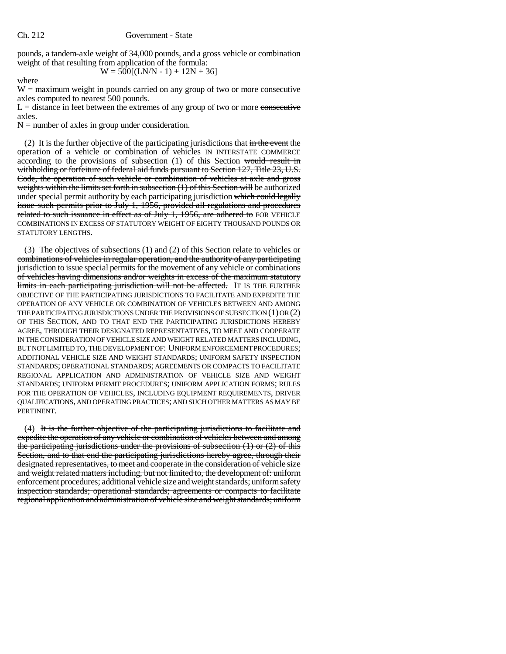pounds, a tandem-axle weight of 34,000 pounds, and a gross vehicle or combination weight of that resulting from application of the formula:

 $W = 500[(LN/N - 1) + 12N + 36]$ 

where

 $W =$  maximum weight in pounds carried on any group of two or more consecutive axles computed to nearest 500 pounds.

 $L =$  distance in feet between the extremes of any group of two or more consecutive axles.

 $N =$  number of axles in group under consideration.

(2) It is the further objective of the participating jurisdictions that  $\frac{d}{dt}$  the event the operation of a vehicle or combination of vehicles IN INTERSTATE COMMERCE according to the provisions of subsection (1) of this Section would result in withholding or forfeiture of federal aid funds pursuant to Section 127, Title 23, U.S. Code, the operation of such vehicle or combination of vehicles at axle and gross weights within the limits set forth in subsection (1) of this Section will be authorized under special permit authority by each participating jurisdiction which could legally issue such permits prior to July 1, 1956, provided all regulations and procedures related to such issuance in effect as of July  $1, 1956$ , are adhered to FOR VEHICLE COMBINATIONS IN EXCESS OF STATUTORY WEIGHT OF EIGHTY THOUSAND POUNDS OR STATUTORY LENGTHS.

(3) The objectives of subsections  $(1)$  and  $(2)$  of this Section relate to vehicles or combinations of vehicles in regular operation, and the authority of any participating jurisdiction to issue special permits for the movement of any vehicle or combinations of vehicles having dimensions and/or weights in excess of the maximum statutory limits in each participating jurisdiction will not be affected. IT IS THE FURTHER OBJECTIVE OF THE PARTICIPATING JURISDICTIONS TO FACILITATE AND EXPEDITE THE OPERATION OF ANY VEHICLE OR COMBINATION OF VEHICLES BETWEEN AND AMONG THE PARTICIPATING JURISDICTIONS UNDER THE PROVISIONS OF SUBSECTION (1) OR (2) OF THIS SECTION, AND TO THAT END THE PARTICIPATING JURISDICTIONS HEREBY AGREE, THROUGH THEIR DESIGNATED REPRESENTATIVES, TO MEET AND COOPERATE IN THE CONSIDERATION OF VEHICLE SIZE AND WEIGHT RELATED MATTERS INCLUDING, BUT NOT LIMITED TO, THE DEVELOPMENT OF: UNIFORM ENFORCEMENT PROCEDURES; ADDITIONAL VEHICLE SIZE AND WEIGHT STANDARDS; UNIFORM SAFETY INSPECTION STANDARDS; OPERATIONAL STANDARDS; AGREEMENTS OR COMPACTS TO FACILITATE REGIONAL APPLICATION AND ADMINISTRATION OF VEHICLE SIZE AND WEIGHT STANDARDS; UNIFORM PERMIT PROCEDURES; UNIFORM APPLICATION FORMS; RULES FOR THE OPERATION OF VEHICLES, INCLUDING EQUIPMENT REQUIREMENTS, DRIVER QUALIFICATIONS, AND OPERATING PRACTICES; AND SUCH OTHER MATTERS AS MAY BE PERTINENT.

(4) It is the further objective of the participating jurisdictions to facilitate and expedite the operation of any vehicle or combination of vehicles between and among the participating jurisdictions under the provisions of subsection  $(1)$  or  $(2)$  of this Section, and to that end the participating jurisdictions hereby agree, through their designated representatives, to meet and cooperate in the consideration of vehicle size and weight related matters including, but not limited to, the development of: uniform enforcement procedures; additional vehicle size and weight standards; uniform safety inspection standards; operational standards; agreements or compacts to facilitate regional application and administration of vehicle size and weight standards; uniform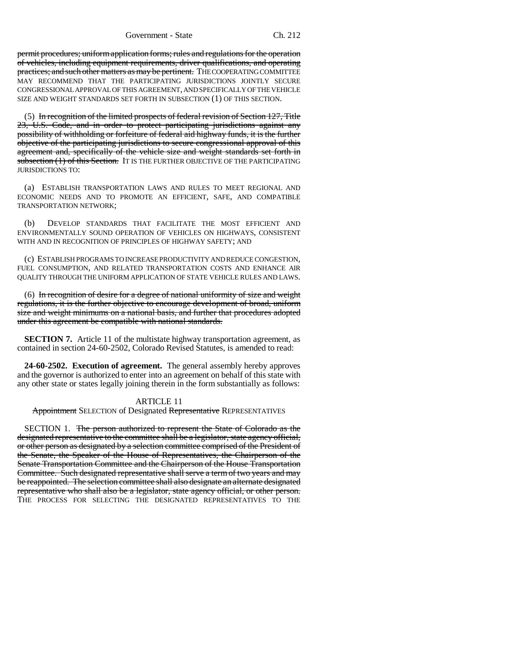permit procedures; uniform application forms; rules and regulations for the operation of vehicles, including equipment requirements, driver qualifications, and operating practices; and such other matters as may be pertinent. THE COOPERATING COMMITTEE MAY RECOMMEND THAT THE PARTICIPATING JURISDICTIONS JOINTLY SECURE CONGRESSIONAL APPROVAL OF THIS AGREEMENT, AND SPECIFICALLY OF THE VEHICLE SIZE AND WEIGHT STANDARDS SET FORTH IN SUBSECTION (1) OF THIS SECTION.

(5) In recognition of the limited prospects of federal revision of Section 127, Title 23, U.S. Code, and in order to protect participating jurisdictions against any possibility of withholding or forfeiture of federal aid highway funds, it is the further objective of the participating jurisdictions to secure congressional approval of this agreement and, specifically of the vehicle size and weight standards set forth in subsection (1) of this Section. IT IS THE FURTHER OBJECTIVE OF THE PARTICIPATING JURISDICTIONS TO:

(a) ESTABLISH TRANSPORTATION LAWS AND RULES TO MEET REGIONAL AND ECONOMIC NEEDS AND TO PROMOTE AN EFFICIENT, SAFE, AND COMPATIBLE TRANSPORTATION NETWORK;

(b) DEVELOP STANDARDS THAT FACILITATE THE MOST EFFICIENT AND ENVIRONMENTALLY SOUND OPERATION OF VEHICLES ON HIGHWAYS, CONSISTENT WITH AND IN RECOGNITION OF PRINCIPLES OF HIGHWAY SAFETY; AND

(c) ESTABLISH PROGRAMS TO INCREASE PRODUCTIVITY AND REDUCE CONGESTION, FUEL CONSUMPTION, AND RELATED TRANSPORTATION COSTS AND ENHANCE AIR QUALITY THROUGH THE UNIFORM APPLICATION OF STATE VEHICLE RULES AND LAWS.

(6) In recognition of desire for a degree of national uniformity of size and weight regulations, it is the further objective to encourage development of broad, uniform size and weight minimums on a national basis, and further that procedures adopted under this agreement be compatible with national standards.

**SECTION 7.** Article 11 of the multistate highway transportation agreement, as contained in section 24-60-2502, Colorado Revised Statutes, is amended to read:

**24-60-2502. Execution of agreement.** The general assembly hereby approves and the governor is authorized to enter into an agreement on behalf of this state with any other state or states legally joining therein in the form substantially as follows:

### ARTICLE 11

**Appointment SELECTION of Designated Representative REPRESENTATIVES** 

SECTION 1. The person authorized to represent the State of Colorado as the designated representative to the committee shall be a legislator, state agency official, or other person as designated by a selection committee comprised of the President of the Senate, the Speaker of the House of Representatives, the Chairperson of the Senate Transportation Committee and the Chairperson of the House Transportation Committee. Such designated representative shall serve a term of two years and may be reappointed. The selection committee shall also designate an alternate designated representative who shall also be a legislator, state agency official, or other person. THE PROCESS FOR SELECTING THE DESIGNATED REPRESENTATIVES TO THE